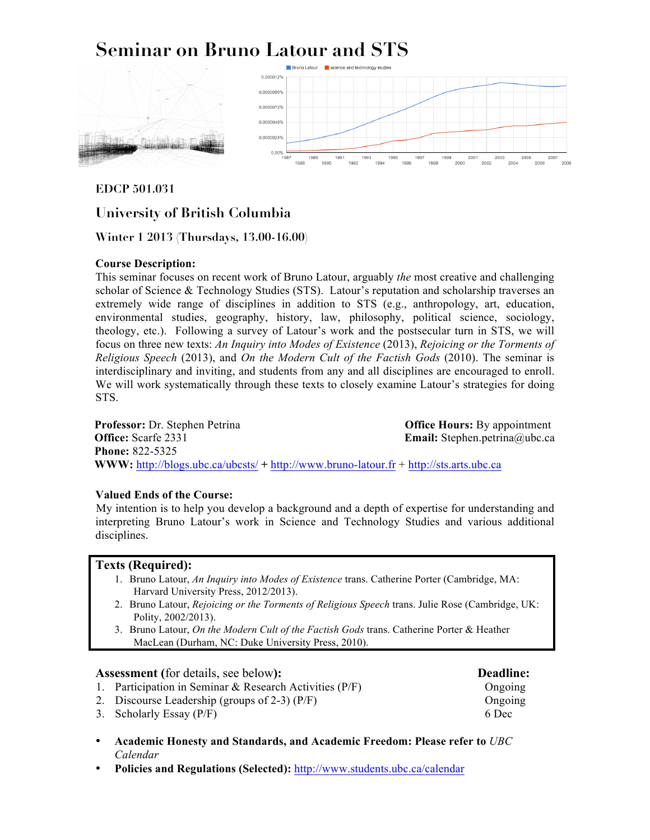# **Seminar on Bruno Latour and STS**



**EDCP 501.031**

## **University of British Columbia**

**Winter 1 2013 (Thursdays, 13.00-16.00)**

#### **Course Description:**

This seminar focuses on recent work of Bruno Latour, arguably *the* most creative and challenging scholar of Science & Technology Studies (STS). Latour's reputation and scholarship traverses an extremely wide range of disciplines in addition to STS (e.g., anthropology, art, education, environmental studies, geography, history, law, philosophy, political science, sociology, theology, etc.). Following a survey of Latour's work and the postsecular turn in STS, we will focus on three new texts: *An Inquiry into Modes of Existence* (2013), *Rejoicing or the Torments of Religious Speech* (2013), and *On the Modern Cult of the Factish Gods* (2010). The seminar is interdisciplinary and inviting, and students from any and all disciplines are encouraged to enroll. We will work systematically through these texts to closely examine Latour's strategies for doing STS.

**Professor:** Dr. Stephen Petrina **Office:** Scarfe 2331 **Phone:** 822-5325 **Office Hours:** By appointment **Email:** Stephen.petrina@ubc.ca **WWW:** http://blogs.ubc.ca/ubcsts/ **+** http://www.bruno-latour.fr + http://sts.arts.ubc.ca

#### **Valued Ends of the Course:**

My intention is to help you develop a background and a depth of expertise for understanding and interpreting Bruno Latour's work in Science and Technology Studies and various additional disciplines.

#### **Texts (Required):**

- 1. Bruno Latour, *An Inquiry into Modes of Existence* trans. Catherine Porter (Cambridge, MA: Harvard University Press, 2012/2013).
- 2. Bruno Latour, *Rejoicing or the Torments of Religious Speech* trans. Julie Rose (Cambridge, UK: Polity, 2002/2013).
- 3. Bruno Latour, *On the Modern Cult of the Factish Gods* trans. Catherine Porter & Heather MacLean (Durham, NC: Duke University Press, 2010).

#### **Assessment (**for details, see below**): Deadline:**

- 1. Participation in Seminar & Research Activities  $(P/F)$  Ongoing
- 2. Discourse Leadership (groups of 2-3) (P/F) Ongoing
- 3. Scholarly Essay (P/F) 6 Dec
- **Academic Honesty and Standards, and Academic Freedom: Please refer to** *UBC Calendar*
- **Policies and Regulations (Selected):** http://www.students.ubc.ca/calendar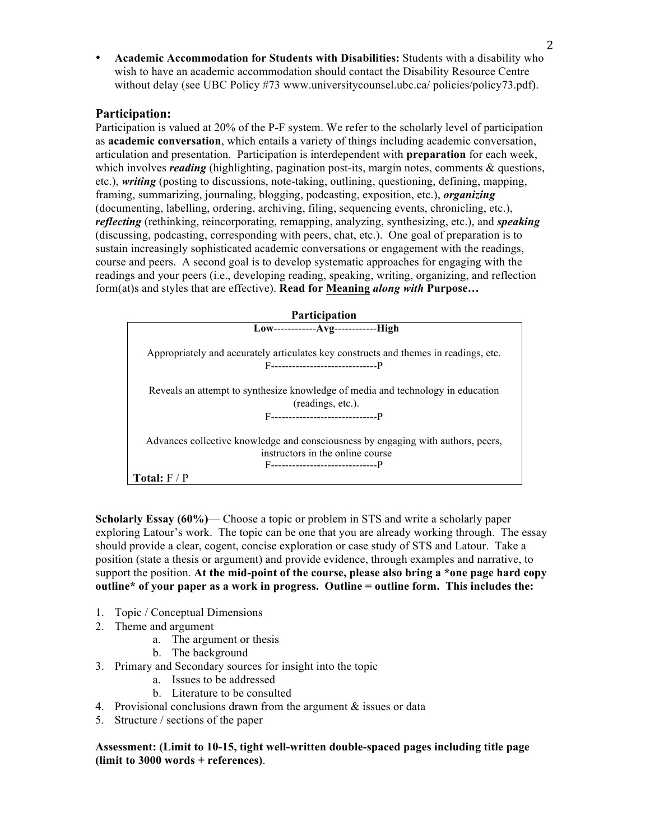• **Academic Accommodation for Students with Disabilities:** Students with a disability who wish to have an academic accommodation should contact the Disability Resource Centre without delay (see UBC Policy #73 www.universitycounsel.ubc.ca/ policies/policy73.pdf).

### **Participation:**

Participation is valued at 20% of the P-F system. We refer to the scholarly level of participation as **academic conversation**, which entails a variety of things including academic conversation, articulation and presentation. Participation is interdependent with **preparation** for each week, which involves *reading* (highlighting, pagination post-its, margin notes, comments & questions, etc.), *writing* (posting to discussions, note-taking, outlining, questioning, defining, mapping, framing, summarizing, journaling, blogging, podcasting, exposition, etc.), *organizing* (documenting, labelling, ordering, archiving, filing, sequencing events, chronicling, etc.), *reflecting* (rethinking, reincorporating, remapping, analyzing, synthesizing, etc.), and *speaking* (discussing, podcasting, corresponding with peers, chat, etc.). One goal of preparation is to sustain increasingly sophisticated academic conversations or engagement with the readings, course and peers. A second goal is to develop systematic approaches for engaging with the readings and your peers (i.e., developing reading, speaking, writing, organizing, and reflection form(at)s and styles that are effective). **Read for Meaning** *along with* **Purpose…**



**Scholarly Essay (60%)**— Choose a topic or problem in STS and write a scholarly paper exploring Latour's work. The topic can be one that you are already working through. The essay should provide a clear, cogent, concise exploration or case study of STS and Latour. Take a position (state a thesis or argument) and provide evidence, through examples and narrative, to support the position. **At the mid-point of the course, please also bring a \*one page hard copy outline\* of your paper as a work in progress. Outline = outline form. This includes the:**

- 1. Topic / Conceptual Dimensions
- 2. Theme and argument
	- a. The argument or thesis
	- b. The background
- 3. Primary and Secondary sources for insight into the topic
	- a. Issues to be addressed
	- b. Literature to be consulted
- 4. Provisional conclusions drawn from the argument  $\&$  issues or data
- 5. Structure / sections of the paper

**Assessment: (Limit to 10-15, tight well-written double-spaced pages including title page (limit to 3000 words + references)**.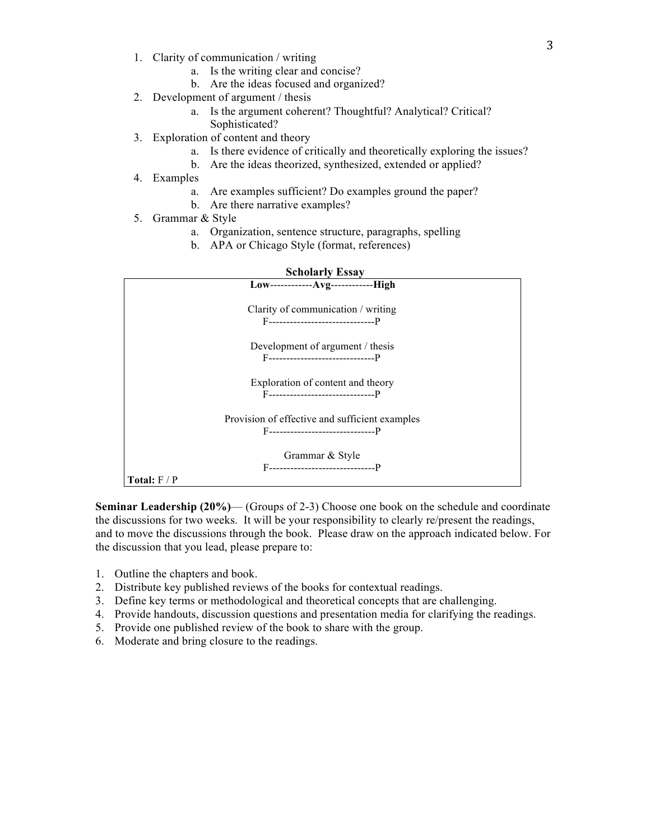- 1. Clarity of communication / writing
	- a. Is the writing clear and concise?
	- b. Are the ideas focused and organized?
- 2. Development of argument / thesis
	- a. Is the argument coherent? Thoughtful? Analytical? Critical? Sophisticated?
- 3. Exploration of content and theory
	- a. Is there evidence of critically and theoretically exploring the issues?
		- b. Are the ideas theorized, synthesized, extended or applied?
- 4. Examples
	- a. Are examples sufficient? Do examples ground the paper?
	- b. Are there narrative examples?
- 5. Grammar & Style
	- a. Organization, sentence structure, paragraphs, spelling
	- b. APA or Chicago Style (format, references)



**Seminar Leadership (20%)**— (Groups of 2-3) Choose one book on the schedule and coordinate the discussions for two weeks. It will be your responsibility to clearly re/present the readings, and to move the discussions through the book. Please draw on the approach indicated below. For the discussion that you lead, please prepare to:

- 1. Outline the chapters and book.
- 2. Distribute key published reviews of the books for contextual readings.
- 3. Define key terms or methodological and theoretical concepts that are challenging.
- 4. Provide handouts, discussion questions and presentation media for clarifying the readings.
- 5. Provide one published review of the book to share with the group.
- 6. Moderate and bring closure to the readings.